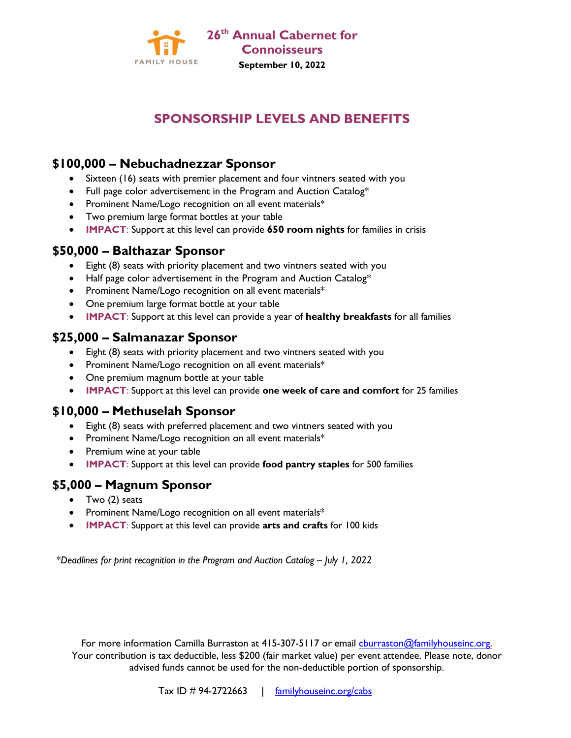

# **SPONSORSHIP LEVELS AND BENEFITS**

### **\$100,000 – Nebuchadnezzar Sponsor**

- Sixteen (16) seats with premier placement and four vintners seated with you
- Full page color advertisement in the Program and Auction Catalog\*
- Prominent Name/Logo recognition on all event materials\*
- Two premium large format bottles at your table
- **IMPACT**: Support at this level can provide **650 room nights** for families in crisis

## **\$50,000 – Balthazar Sponsor**

- Eight (8) seats with priority placement and two vintners seated with you
- Half page color advertisement in the Program and Auction Catalog\*
- Prominent Name/Logo recognition on all event materials\*
- One premium large format bottle at your table
- **IMPACT**: Support at this level can provide a year of **healthy breakfasts** for all families

#### **\$25,000 – Salmanazar Sponsor**

- Eight (8) seats with priority placement and two vintners seated with you
- Prominent Name/Logo recognition on all event materials\*
- One premium magnum bottle at your table
- **IMPACT**: Support at this level can provide **one week of care and comfort** for 25 families

#### **\$10,000 – Methuselah Sponsor**

- Eight (8) seats with preferred placement and two vintners seated with you
- Prominent Name/Logo recognition on all event materials\*
- Premium wine at your table
- **IMPACT**: Support at this level can provide **food pantry staples** for 500 families

#### **\$5,000 – Magnum Sponsor**

- Two (2) seats
- Prominent Name/Logo recognition on all event materials\*
- **IMPACT**: Support at this level can provide **arts and crafts** for 100 kids

\**Deadlines for print recognition in the Program and Auction Catalog – July 1, 2022* 

For more information Camilla Burraston at 415-307-5117 or email [cburraston@familyhouseinc.org.](mailto:cburraston@familyhouseinc.org) Your contribution is tax deductible, less \$200 (fair market value) per event attendee. Please note, donor advised funds cannot be used for the non-deductible portion of sponsorship.